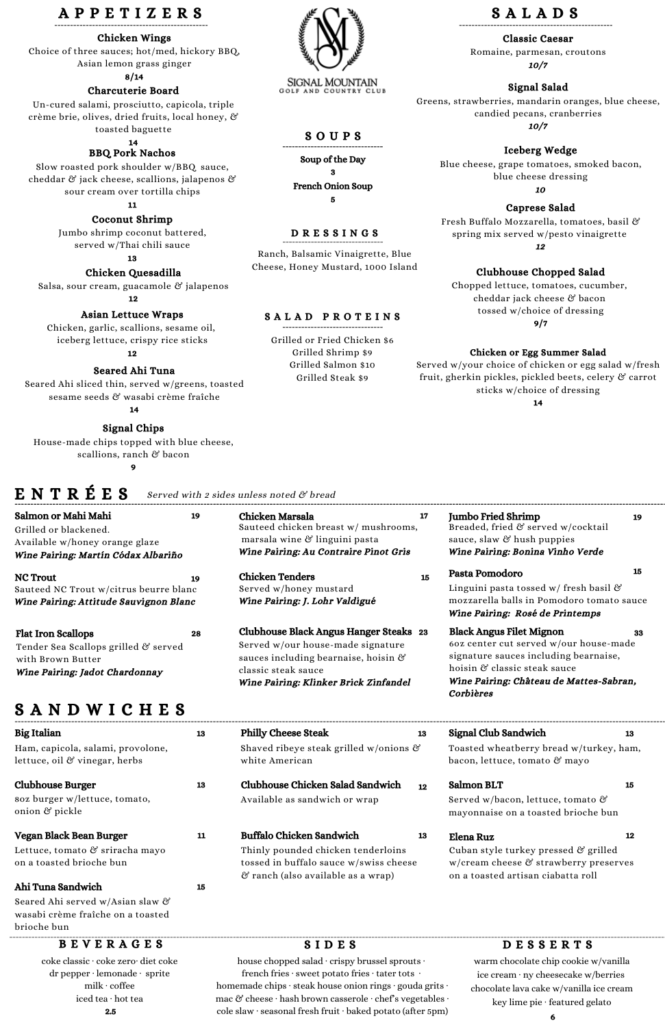# S A N D W I C H E S

Big Italian Ham, capicola, salami, provolone,



#### SIGNAL MOUNTAIN GOLF AND COUNTRY CLUB

lettuce, oil & vinegar, herbs

13 Philly Cheese Steak Shaved ribeye steak grilled w/onions &

white American

13

Clubhouse Burger 8oz burger w/lettuce, tomato, onion & pickle

13

Buffalo Chicken Sandwich

Thinly pounded chicken tenderloins tossed in buffalo sauce w/swiss cheese & ranch (also available as a wrap)

13

Signal Club Sandwich

Toasted wheatberry bread w/turkey, ham,

bacon, lettuce, tomato & mayo

13

Clubhouse Chicken Salad Sandwich Available as sandwich or wrap

12

## D E S S E R T S

warm chocolate chip cookie w/vanilla ice cream ∙ ny cheesecake w/berries chocolate lava cake w/vanilla ice cream key lime pie ∙ featured gelato

### B E V E R A G E S

coke classic ∙ coke zero∙ diet coke dr pepper ∙ lemonade ∙ sprite milk ∙ coffee iced tea ∙ hot tea

2.5

## S I D E S

house chopped salad ∙ crispy brussel sprouts ∙ french fries ∙ sweet potato fries ∙ tater tots ∙ homemade chips ∙ steak house onion rings ∙ gouda grits ∙ mac & cheese ∙ hash brown casserole ∙ chef's vegetables ∙ cole slaw ∙ seasonal fresh fruit ∙ baked potato (after 5pm)

## A P P E T I Z E R S

Classic Caesar

Romaine, parmesan, croutons 10/7

#### Iceberg Wedge

Blue cheese, grape tomatoes, smoked bacon, blue cheese dressing

10

Soup of the Day 3 French Onion Soup 5

#### S O U P S

# S A L A D S

#### D R E S S I N G S

Ranch, Balsamic Vinaigrette, Blue Cheese, Honey Mustard, 1000 Island

Salmon or Mahi Mahi Grilled or blackened. Available w/honey orange glaze

Wine Pairing: Martín Códax Albariño

Cuban style turkey pressed & grilled w/cream cheese & strawberry preserves on a toasted artisan ciabatta roll

19

NC Trout Sauteed NC Trout w/citrus beurre blanc Wine Pairing: Attitude Sauvignon Blanc 19

> Clubhouse Black Angus Hanger Steaks 23 Served w/our house-made signature sauces including bearnaise, hoisin & classic steak sauce Wine Pairing: Klinker Brick Zinfandel

Chicken Marsala Sauteed chicken breast w/ mushrooms, marsala wine & linguini pasta Wine Pairing: Au Contraire Pinot Gris 17

# E N T R É E S

Chicken Tenders Served w/honey mustard Wine Pairing: J. Lohr Valdigué

15

Jumbo Fried Shrimp Breaded, fried & served w/cocktail sauce, slaw & hush puppies Wine Pairing: Bonina Vinho Verde

19

#### Signal Salad

Greens, strawberries, mandarin oranges, blue cheese, candied pecans, cranberries 10/7

#### Caprese Salad

Fresh Buffalo Mozzarella, tomatoes, basil & spring mix served w/pesto vinaigrette

12

#### Clubhouse Chopped Salad

Chopped lettuce, tomatoes, cucumber, cheddar jack cheese & bacon tossed w/choice of dressing 9/7

#### Chicken or Egg Summer Salad

Served w/your choice of chicken or egg salad w/fresh fruit, gherkin pickles, pickled beets, celery & carrot sticks w/choice of dressing

14

#### Served with 2 sides unless noted & bread

Vegan Black Bean Burger Lettuce, tomato & sriracha mayo on a toasted brioche bun

11

#### Salmon BLT

Served w/bacon, lettuce, tomato & mayonnaise on a toasted brioche bun 15

#### Ahi Tuna Sandwich

Seared Ahi served w/Asian slaw & wasabi crème fraîche on a toasted brioche bun

15

#### Elena Ruz

12

#### S A L A D P R O T E I N S

Grilled or Fried Chicken \$6 Grilled Shrimp \$9 Grilled Salmon \$10 Grilled Steak \$9

| <b>Flat Iron Scallops</b>            | 28 |
|--------------------------------------|----|
| Tender Sea Scallops grilled & served |    |
| with Brown Butter                    |    |
| Wine Pairing: Jadot Chardonnay       |    |

#### Chicken Wings

Choice of three sauces; hot/med, hickory BBQ, Asian lemon grass ginger

#### 8/14

#### Chicken Quesadilla

Salsa, sour cream, guacamole & jalapenos

12

#### Asian Lettuce Wraps

Chicken, garlic, scallions, sesame oil, iceberg lettuce, crispy rice sticks

#### 12

#### Coconut Shrimp

Jumbo shrimp coconut battered, served w/Thai chili sauce

13

BBQ Pork Nachos

Slow roasted pork shoulder w/BBQ sauce, cheddar & jack cheese, scallions, jalapenos & sour cream over tortilla chips

11

#### Charcuterie Board

Un-cured salami, prosciutto, capicola, triple crème brie, olives, dried fruits, local honey, & toasted baguette

14

#### Seared Ahi Tuna

Seared Ahi sliced thin, served w/greens, toasted sesame seeds & wasabi crème fraîche

14

#### Signal Chips

House-made chips topped with blue cheese, scallions, ranch & bacon 9

Pasta Pomodoro

Linguini pasta tossed w/ fresh basil & mozzarella balls in Pomodoro tomato sauce

Wine Pairing: Rosé de Printemps

15

Black Angus Filet Mignon 6oz center cut served w/our house-made signature sauces including bearnaise, hoisin & classic steak sauce Wine Pairing: Château de Mattes-Sabran, Corbières 33